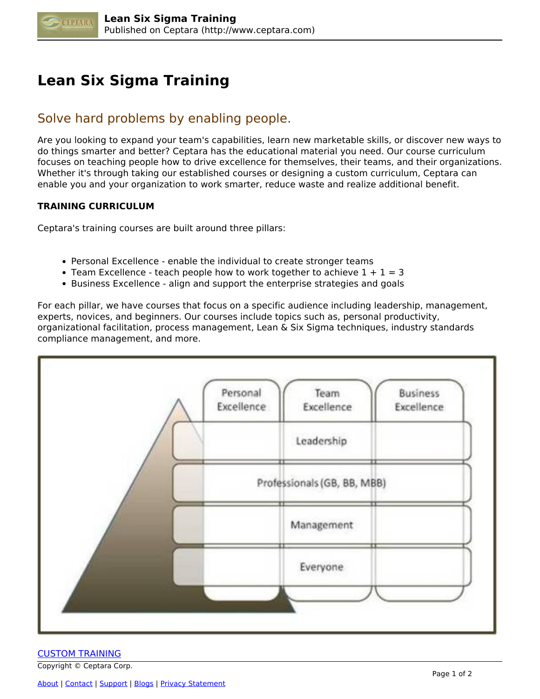

## **Lean Six Sigma Training**

## Solve hard problems by enabling people.

Are you looking to expand your team's capabilities, learn new marketable skills, or discover new ways to do things smarter and better? Ceptara has the educational material you need. Our course curriculum focuses on teaching people how to drive excellence for themselves, their teams, and their organizations. Whether it's through taking our established courses or designing a custom curriculum, Ceptara can enable you and your organization to work smarter, reduce waste and realize additional benefit.

## **TRAINING CURRICULUM**

Ceptara's training courses are built around three pillars:

- Personal Excellence enable the individual to create stronger teams
- Team Excellence teach people how to work together to achieve  $1 + 1 = 3$
- **Business Excellence align and support the enterprise strategies and goals**

For each pillar, we have courses that focus on a specific audience including leadership, management, experts, novices, and beginners. Our courses include topics such as, personal productivity, organizational facilitation, process management, Lean & Six Sigma techniques, industry standards compliance management, and more.



## CUSTOM TRAINING

Copyright © Ceptara Corp.